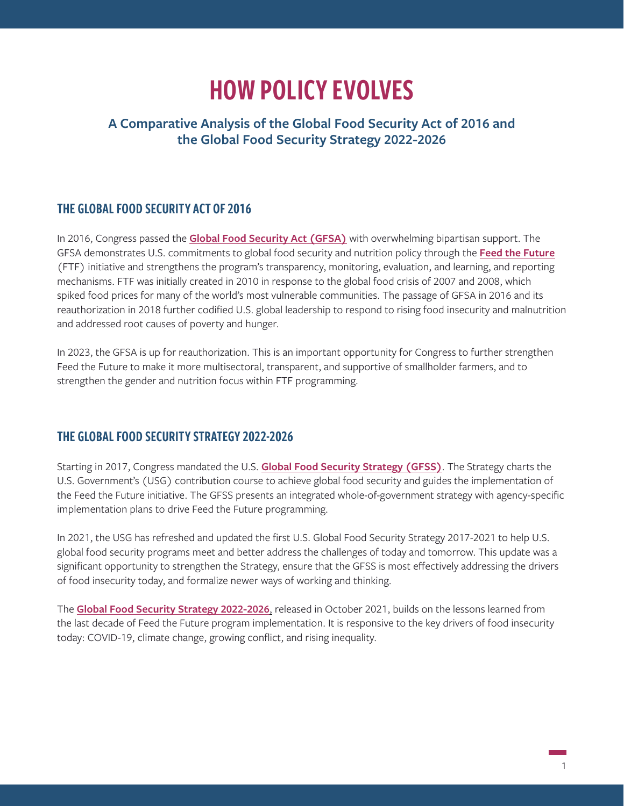# HOW POLICY EVOLVES

## **A Comparative Analysis of the Global Food Security Act of 2016 and the Global Food Security Strategy 2022-2026**

### THE GLOBAL FOOD SECURITY ACT OF 2016

In 2016, Congress passed the **[Global Food Security Act \(GFSA\)](https://www.congress.gov/114/plaws/publ195/PLAW-114publ195.pdf)** with overwhelming bipartisan support. The GFSA demonstrates U.S. commitments to global food security and nutrition policy through the **[Feed the Future](https://www.feedthefuture.gov/about/)** (FTF) initiative and strengthens the program's transparency, monitoring, evaluation, and learning, and reporting mechanisms. FTF was initially created in 2010 in response to the global food crisis of 2007 and 2008, which spiked food prices for many of the world's most vulnerable communities. The passage of GFSA in 2016 and its reauthorization in 2018 further codified U.S. global leadership to respond to rising food insecurity and malnutrition and addressed root causes of poverty and hunger.

In 2023, the GFSA is up for reauthorization. This is an important opportunity for Congress to further strengthen Feed the Future to make it more multisectoral, transparent, and supportive of smallholder farmers, and to strengthen the gender and nutrition focus within FTF programming.

### THE GLOBAL FOOD SECURITY STRATEGY 2022-2026

Starting in 2017, Congress mandated the U.S. **[Global Food Security Strategy \(GFSS\)](https://www.usaid.gov/sites/default/files/documents/1867/GFS_2017_Research_Strategy_508C.pdf)**. The Strategy charts the U.S. Government's (USG) contribution course to achieve global food security and guides the implementation of the Feed the Future initiative. The GFSS presents an integrated whole-of-government strategy with agency-specific implementation plans to drive Feed the Future programming.

In 2021, the USG has refreshed and updated the first U.S. Global Food Security Strategy 2017-2021 to help U.S. global food security programs meet and better address the challenges of today and tomorrow. This update was a significant opportunity to strengthen the Strategy, ensure that the GFSS is most effectively addressing the drivers of food insecurity today, and formalize newer ways of working and thinking.

The **[Global Food Security Strategy 2022-2026](https://www.usaid.gov/sites/default/files/documents/Global-Food-Security-Strategy-FY22-26_508C.pdf)**, released in October 2021, builds on the lessons learned from the last decade of Feed the Future program implementation. It is responsive to the key drivers of food insecurity today: COVID-19, climate change, growing conflict, and rising inequality.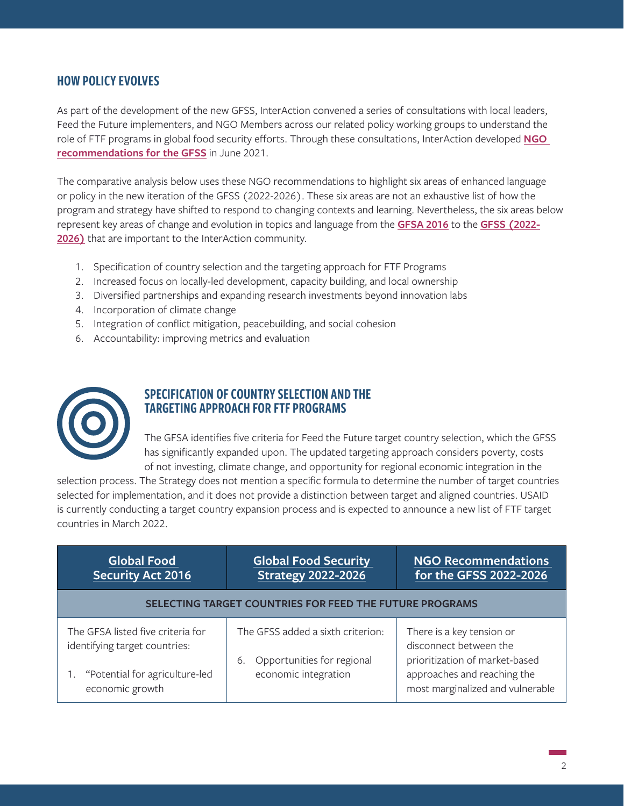#### HOW POLICY EVOLVES

As part of the development of the new GFSS, InterAction convened a series of consultations with local leaders, Feed the Future implementers, and NGO Members across our related policy working groups to understand the role of FTF programs in global food security efforts. Through these consultations, InterAction developed **[NGO](https://www.interaction.org/blog/ngo-recommendations-for-the-u-s-global-food-security-strategy-refresh/)  [recommendations for the GFSS](https://www.interaction.org/blog/ngo-recommendations-for-the-u-s-global-food-security-strategy-refresh/)** in June 2021.

The comparative analysis below uses these NGO recommendations to highlight six areas of enhanced language or policy in the new iteration of the GFSS (2022-2026). These six areas are not an exhaustive list of how the program and strategy have shifted to respond to changing contexts and learning. Nevertheless, the six areas below represent key areas of change and evolution in topics and language from the **[GFSA 2016](https://www.congress.gov/114/plaws/publ195/PLAW-114publ195.pdf)** to the **[GFSS \(2022-](https://www.usaid.gov/sites/default/files/documents/Global-Food-Security-Strategy-FY22-26_508C.pdf) [2026\)](https://www.usaid.gov/sites/default/files/documents/Global-Food-Security-Strategy-FY22-26_508C.pdf)** that are important to the InterAction community.

- 1. Specification of country selection and the targeting approach for FTF Programs
- 2. Increased focus on locally-led development, capacity building, and local ownership
- 3. Diversified partnerships and expanding research investments beyond innovation labs
- 4. Incorporation of climate change
- 5. Integration of conflict mitigation, peacebuilding, and social cohesion
- 6. Accountability: improving metrics and evaluation



#### SPECIFICATION OF COUNTRY SELECTION AND THE TARGETING APPROACH FOR FTF PROGRAMS

The GFSA identifies five criteria for Feed the Future target country selection, which the GFSS has significantly expanded upon. The updated targeting approach considers poverty, costs of not investing, climate change, and opportunity for regional economic integration in the

selection process. The Strategy does not mention a specific formula to determine the number of target countries selected for implementation, and it does not provide a distinction between target and aligned countries. USAID is currently conducting a target country expansion process and is expected to announce a new list of FTF target countries in March 2022.

| <b>Global Food</b><br><b>Security Act 2016</b>                                                                          | <b>Global Food Security</b><br><b>Strategy 2022-2026</b>                                      | <b>NGO Recommendations</b><br>for the GFSS 2022-2026                                                                                                     |
|-------------------------------------------------------------------------------------------------------------------------|-----------------------------------------------------------------------------------------------|----------------------------------------------------------------------------------------------------------------------------------------------------------|
| SELECTING TARGET COUNTRIES FOR FEED THE FUTURE PROGRAMS                                                                 |                                                                                               |                                                                                                                                                          |
| The GFSA listed five criteria for<br>identifying target countries:<br>"Potential for agriculture-led<br>economic growth | The GFSS added a sixth criterion:<br>Opportunities for regional<br>6.<br>economic integration | There is a key tension or<br>disconnect between the<br>prioritization of market-based<br>approaches and reaching the<br>most marginalized and vulnerable |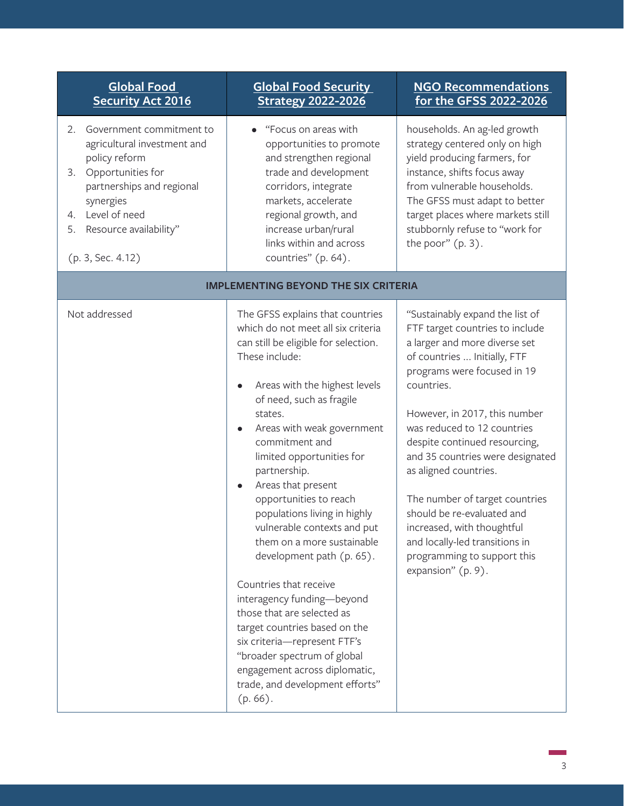- 2. Government commitment to agricultural investment and policy reform
- 3. Opportunities for partnerships and regional synergies
- 4. Level of need
- 5. Resource availability"
- (p. 3, Sec. 4.12)

## **[Global Food Security](https://www.usaid.gov/sites/default/files/documents/Global-Food-Security-Strategy-FY22-26_508C.pdf)  [Strategy 2022-2026](https://www.usaid.gov/sites/default/files/documents/Global-Food-Security-Strategy-FY22-26_508C.pdf)**

• "Focus on areas with opportunities to promote and strengthen regional trade and development corridors, integrate markets, accelerate regional growth, and increase urban/rural links within and across countries" (p. 64).

#### **[NGO Recommendations](https://www.interaction.org/wp-content/uploads/2021/06/InterAction-GFSS-R-Recommendations.pdf)  [for the GFSS 2022-2026](https://www.interaction.org/wp-content/uploads/2021/06/InterAction-GFSS-R-Recommendations.pdf)**

households. An ag-led growth strategy centered only on high yield producing farmers, for instance, shifts focus away from vulnerable households. The GFSS must adapt to better target places where markets still stubbornly refuse to "work for the poor" (p. 3).

| <b>IMPLEMENTING BEYOND THE SIX CRITERIA</b> |                                                                                                                                                                                                                                                                                                                                                                                                                                                                                                                                                                                                                                                                                                                                           |                                                                                                                                                                                                                                                                                                                                                                                                                                                                                                                                     |
|---------------------------------------------|-------------------------------------------------------------------------------------------------------------------------------------------------------------------------------------------------------------------------------------------------------------------------------------------------------------------------------------------------------------------------------------------------------------------------------------------------------------------------------------------------------------------------------------------------------------------------------------------------------------------------------------------------------------------------------------------------------------------------------------------|-------------------------------------------------------------------------------------------------------------------------------------------------------------------------------------------------------------------------------------------------------------------------------------------------------------------------------------------------------------------------------------------------------------------------------------------------------------------------------------------------------------------------------------|
| Not addressed                               | The GFSS explains that countries<br>which do not meet all six criteria<br>can still be eligible for selection.<br>These include:<br>Areas with the highest levels<br>of need, such as fragile<br>states.<br>Areas with weak government<br>commitment and<br>limited opportunities for<br>partnership.<br>Areas that present<br>opportunities to reach<br>populations living in highly<br>vulnerable contexts and put<br>them on a more sustainable<br>development path (p. 65).<br>Countries that receive<br>interagency funding-beyond<br>those that are selected as<br>target countries based on the<br>six criteria-represent FTF's<br>"broader spectrum of global<br>engagement across diplomatic,<br>trade, and development efforts" | "Sustainably expand the list of<br>FTF target countries to include<br>a larger and more diverse set<br>of countries  Initially, FTF<br>programs were focused in 19<br>countries.<br>However, in 2017, this number<br>was reduced to 12 countries<br>despite continued resourcing,<br>and 35 countries were designated<br>as aligned countries.<br>The number of target countries<br>should be re-evaluated and<br>increased, with thoughtful<br>and locally-led transitions in<br>programming to support this<br>expansion" (p. 9). |
|                                             | $(p.66)$ .                                                                                                                                                                                                                                                                                                                                                                                                                                                                                                                                                                                                                                                                                                                                |                                                                                                                                                                                                                                                                                                                                                                                                                                                                                                                                     |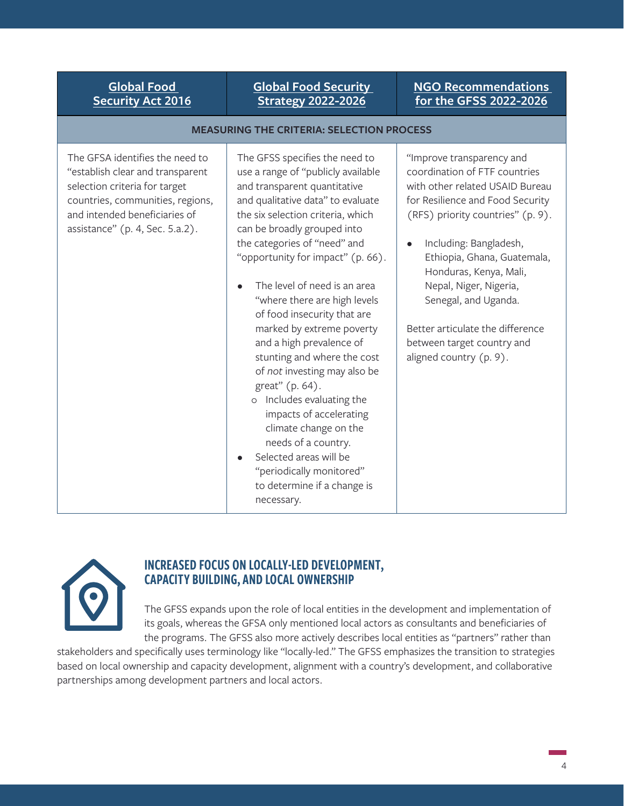### **[Global Food Security](https://www.usaid.gov/sites/default/files/documents/Global-Food-Security-Strategy-FY22-26_508C.pdf)  [Strategy 2022-2026](https://www.usaid.gov/sites/default/files/documents/Global-Food-Security-Strategy-FY22-26_508C.pdf)**

**MEASURING THE CRITERIA: SELECTION PROCESS**

#### **[NGO Recommendations](https://www.interaction.org/wp-content/uploads/2021/06/InterAction-GFSS-R-Recommendations.pdf)  [for the GFSS 2022-2026](https://www.interaction.org/wp-content/uploads/2021/06/InterAction-GFSS-R-Recommendations.pdf)**

| The GFSA identifies the need to<br>"establish clear and transparent<br>selection criteria for target<br>countries, communities, regions,<br>and intended beneficiaries of<br>assistance" (p. 4, Sec. 5.a.2). | The GFSS specifies the need to<br>use a range of "publicly available<br>and transparent quantitative<br>and qualitative data" to evaluate<br>the six selection criteria, which<br>can be broadly grouped into<br>the categories of "need" and<br>"opportunity for impact" (p. 66).<br>The level of need is an area<br>"where there are high levels<br>of food insecurity that are<br>marked by extreme poverty<br>and a high prevalence of<br>stunting and where the cost<br>of not investing may also be<br>great" (p. 64).<br>Includes evaluating the<br>$\circ$<br>impacts of accelerating<br>climate change on the<br>needs of a country.<br>Selected areas will be<br>$\bullet$<br>"periodically monitored"<br>to determine if a change is<br>necessary. | "Improve transparency and<br>coordination of FTF countries<br>with other related USAID Bureau<br>for Resilience and Food Security<br>(RFS) priority countries" (p. 9).<br>Including: Bangladesh,<br>Ethiopia, Ghana, Guatemala,<br>Honduras, Kenya, Mali,<br>Nepal, Niger, Nigeria,<br>Senegal, and Uganda.<br>Better articulate the difference<br>between target country and<br>aligned country (p. 9). |
|--------------------------------------------------------------------------------------------------------------------------------------------------------------------------------------------------------------|---------------------------------------------------------------------------------------------------------------------------------------------------------------------------------------------------------------------------------------------------------------------------------------------------------------------------------------------------------------------------------------------------------------------------------------------------------------------------------------------------------------------------------------------------------------------------------------------------------------------------------------------------------------------------------------------------------------------------------------------------------------|----------------------------------------------------------------------------------------------------------------------------------------------------------------------------------------------------------------------------------------------------------------------------------------------------------------------------------------------------------------------------------------------------------|
|--------------------------------------------------------------------------------------------------------------------------------------------------------------------------------------------------------------|---------------------------------------------------------------------------------------------------------------------------------------------------------------------------------------------------------------------------------------------------------------------------------------------------------------------------------------------------------------------------------------------------------------------------------------------------------------------------------------------------------------------------------------------------------------------------------------------------------------------------------------------------------------------------------------------------------------------------------------------------------------|----------------------------------------------------------------------------------------------------------------------------------------------------------------------------------------------------------------------------------------------------------------------------------------------------------------------------------------------------------------------------------------------------------|



#### INCREASED FOCUS ON LOCALLY-LED DEVELOPMENT, CAPACITY BUILDING, AND LOCAL OWNERSHIP

The GFSS expands upon the role of local entities in the development and implementation of its goals, whereas the GFSA only mentioned local actors as consultants and beneficiaries of the programs. The GFSS also more actively describes local entities as "partners" rather than

stakeholders and specifically uses terminology like "locally-led." The GFSS emphasizes the transition to strategies based on local ownership and capacity development, alignment with a country's development, and collaborative partnerships among development partners and local actors.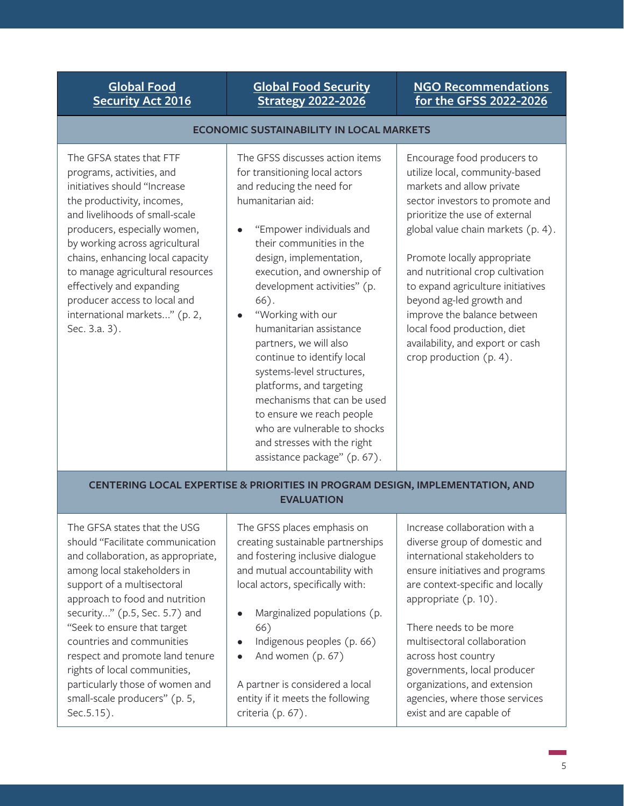### **[Global Food Security](https://www.usaid.gov/sites/default/files/documents/Global-Food-Security-Strategy-FY22-26_508C.pdf) [Strategy 2022-2026](https://www.usaid.gov/sites/default/files/documents/Global-Food-Security-Strategy-FY22-26_508C.pdf)**

#### **[NGO Recommendations](https://www.interaction.org/wp-content/uploads/2021/06/InterAction-GFSS-R-Recommendations.pdf)  [for the GFSS 2022-2026](https://www.interaction.org/wp-content/uploads/2021/06/InterAction-GFSS-R-Recommendations.pdf)**

#### **ECONOMIC SUSTAINABILITY IN LOCAL MARKETS**

The GFSA states that FTF programs, activities, and initiatives should "Increase the productivity, incomes, and livelihoods of small-scale producers, especially women, by working across agricultural chains, enhancing local capacity to manage agricultural resources effectively and expanding producer access to local and international markets..." (p. 2, Sec. 3.a. 3).

The GFSS discusses action items for transitioning local actors and reducing the need for humanitarian aid:

- "Empower individuals and their communities in the design, implementation, execution, and ownership of development activities" (p. 66).
- "Working with our humanitarian assistance partners, we will also continue to identify local systems-level structures, platforms, and targeting mechanisms that can be used to ensure we reach people who are vulnerable to shocks and stresses with the right assistance package" (p. 67).

Encourage food producers to utilize local, community-based markets and allow private sector investors to promote and prioritize the use of external global value chain markets (p. 4).

Promote locally appropriate and nutritional crop cultivation to expand agriculture initiatives beyond ag-led growth and improve the balance between local food production, diet availability, and export or cash crop production (p. 4).

#### **CENTERING LOCAL EXPERTISE & PRIORITIES IN PROGRAM DESIGN, IMPLEMENTATION, AND EVALUATION**

The GFSA states that the USG should "Facilitate communication and collaboration, as appropriate, among local stakeholders in support of a multisectoral approach to food and nutrition security..." (p.5, Sec. 5.7) and "Seek to ensure that target countries and communities respect and promote land tenure rights of local communities, particularly those of women and small-scale producers" (p. 5, Sec.5.15).

The GFSS places emphasis on creating sustainable partnerships and fostering inclusive dialogue and mutual accountability with local actors, specifically with:

- Marginalized populations (p. 66)
- Indigenous peoples (p. 66)
- And women (p. 67)

A partner is considered a local entity if it meets the following criteria (p. 67).

Increase collaboration with a diverse group of domestic and international stakeholders to ensure initiatives and programs are context-specific and locally appropriate (p. 10).

There needs to be more multisectoral collaboration across host country governments, local producer organizations, and extension agencies, where those services exist and are capable of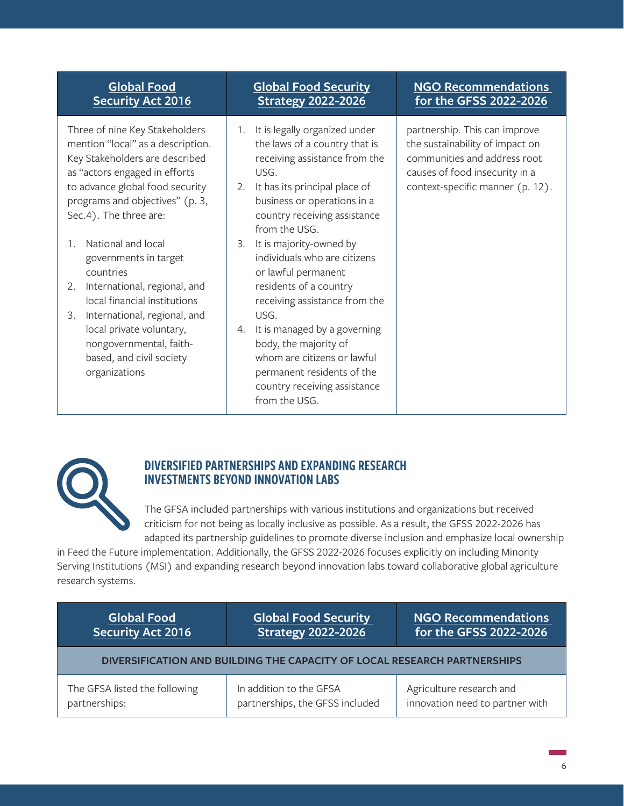Three of nine Key Stakeholders mention "local" as a description. Key Stakeholders are described as "actors engaged in efforts to advance global food security programs and objectives" (p. 3, Sec.4). The three are:

- 1. National and local governments in target countries
- 2. International, regional, and local financial institutions
- 3. International, regional, and local private voluntary, nongovernmental, faithbased, and civil society organizations

# **[Global Food Security](https://www.usaid.gov/sites/default/files/documents/Global-Food-Security-Strategy-FY22-26_508C.pdf) [Strategy 2022-2026](https://www.usaid.gov/sites/default/files/documents/Global-Food-Security-Strategy-FY22-26_508C.pdf)**

- 1. It is legally organized under the laws of a country that is receiving assistance from the USG.
- 2. It has its principal place of business or operations in a country receiving assistance from the USG.
- 3. It is majority-owned by individuals who are citizens or lawful permanent residents of a country receiving assistance from the USG.
- 4. It is managed by a governing body, the majority of whom are citizens or lawful permanent residents of the country receiving assistance from the USG.

## **[NGO Recommendations](https://www.interaction.org/wp-content/uploads/2021/06/InterAction-GFSS-R-Recommendations.pdf)  [for the GFSS 2022-2026](https://www.interaction.org/wp-content/uploads/2021/06/InterAction-GFSS-R-Recommendations.pdf)**

partnership. This can improve the sustainability of impact on communities and address root causes of food insecurity in a context-specific manner (p. 12).



## DIVERSIFIED PARTNERSHIPS AND EXPANDING RESEARCH INVESTMENTS BEYOND INNOVATION LABS

The GFSA included partnerships with various institutions and organizations but received criticism for not being as locally inclusive as possible. As a result, the GFSS 2022-2026 has adapted its partnership guidelines to promote diverse inclusion and emphasize local ownership

in Feed the Future implementation. Additionally, the GFSS 2022-2026 focuses explicitly on including Minority Serving Institutions (MSI) and expanding research beyond innovation labs toward collaborative global agriculture research systems.

| <b>Global Food</b>                                                       | <b>Global Food Security</b>     | NGO Recommendations             |  |
|--------------------------------------------------------------------------|---------------------------------|---------------------------------|--|
| Security Act 2016                                                        | <b>Strategy 2022-2026</b>       | for the GFSS 2022-2026          |  |
| DIVERSIFICATION AND BUILDING THE CAPACITY OF LOCAL RESEARCH PARTNERSHIPS |                                 |                                 |  |
| The GFSA listed the following                                            | In addition to the GFSA         | Agriculture research and        |  |
| partnerships:                                                            | partnerships, the GFSS included | innovation need to partner with |  |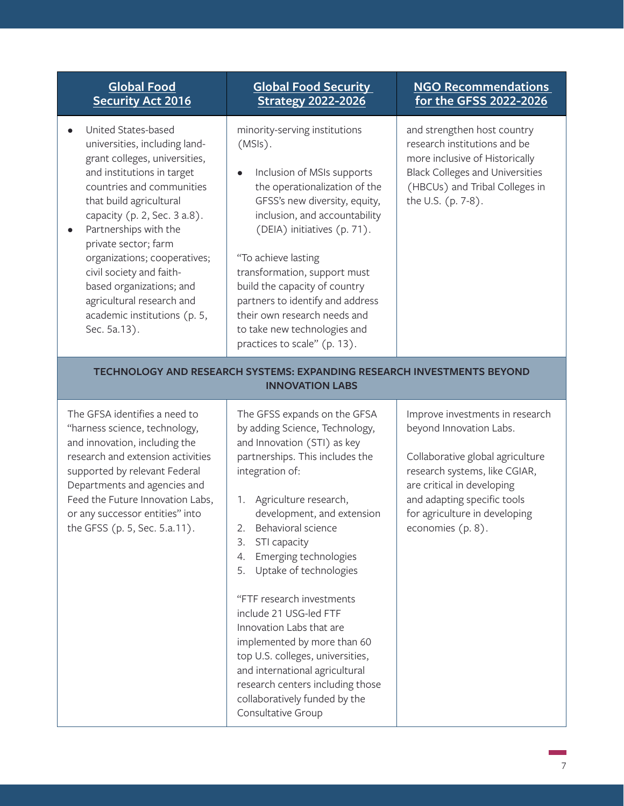- United States-based universities, including landgrant colleges, universities, and institutions in target countries and communities that build agricultural capacity (p. 2, Sec. 3 a.8).
- Partnerships with the private sector; farm organizations; cooperatives; civil society and faithbased organizations; and agricultural research and academic institutions (p. 5, Sec. 5a.13).

## **[Global Food Security](https://www.usaid.gov/sites/default/files/documents/Global-Food-Security-Strategy-FY22-26_508C.pdf)  [Strategy 2022-2026](https://www.usaid.gov/sites/default/files/documents/Global-Food-Security-Strategy-FY22-26_508C.pdf)**

minority-serving institutions (MSIs).

• Inclusion of MSIs supports the operationalization of the GFSS's new diversity, equity, inclusion, and accountability (DEIA) initiatives (p. 71).

"To achieve lasting transformation, support must build the capacity of country partners to identify and address their own research needs and to take new technologies and practices to scale" (p. 13).

#### **[NGO Recommendations](https://www.interaction.org/wp-content/uploads/2021/06/InterAction-GFSS-R-Recommendations.pdf)  [for the GFSS 2022-2026](https://www.interaction.org/wp-content/uploads/2021/06/InterAction-GFSS-R-Recommendations.pdf)**

and strengthen host country research institutions and be more inclusive of Historically Black Colleges and Universities (HBCUs) and Tribal Colleges in the U.S. (p. 7-8).

#### **TECHNOLOGY AND RESEARCH SYSTEMS: EXPANDING RESEARCH INVESTMENTS BEYOND INNOVATION LABS**

The GFSA identifies a need to "harness science, technology, and innovation, including the research and extension activities supported by relevant Federal Departments and agencies and Feed the Future Innovation Labs, or any successor entities" into the GFSS (p. 5, Sec. 5.a.11).

The GFSS expands on the GFSA by adding Science, Technology, and Innovation (STI) as key partnerships. This includes the integration of:

- 1. Agriculture research, development, and extension
- 2. Behavioral science
- 3. STI capacity
- 4. Emerging technologies
- 5. Uptake of technologies

"FTF research investments include 21 USG-led FTF Innovation Labs that are implemented by more than 60 top U.S. colleges, universities, and international agricultural research centers including those collaboratively funded by the Consultative Group

Improve investments in research beyond Innovation Labs.

Collaborative global agriculture research systems, like CGIAR, are critical in developing and adapting specific tools for agriculture in developing economies (p. 8).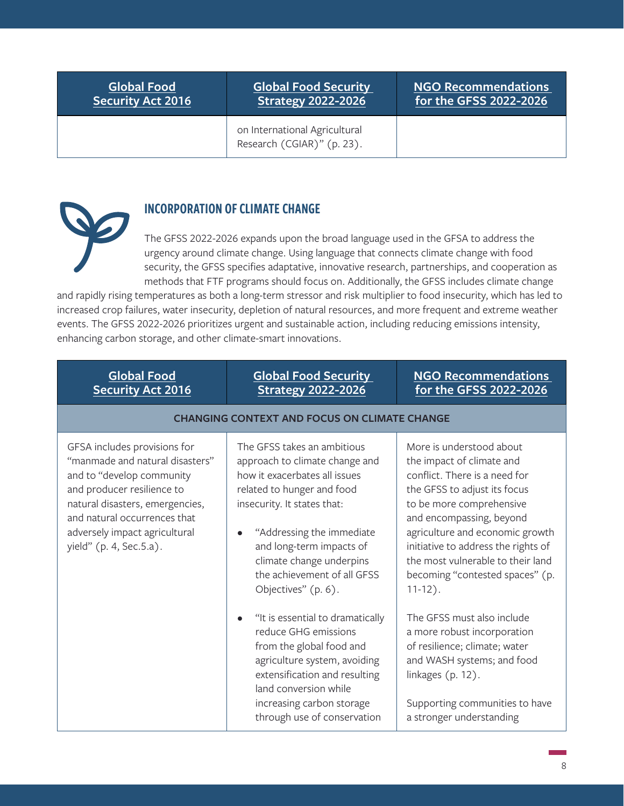**[Global Food Security](https://www.usaid.gov/sites/default/files/documents/Global-Food-Security-Strategy-FY22-26_508C.pdf)  [Strategy 2022-2026](https://www.usaid.gov/sites/default/files/documents/Global-Food-Security-Strategy-FY22-26_508C.pdf)**

**[NGO Recommendations](https://www.interaction.org/wp-content/uploads/2021/06/InterAction-GFSS-R-Recommendations.pdf)  [for the GFSS 2022-2026](https://www.interaction.org/wp-content/uploads/2021/06/InterAction-GFSS-R-Recommendations.pdf)**

on International Agricultural Research (CGIAR)" (p. 23).

## INCORPORATION OF CLIMATE CHANGE

The GFSS 2022-2026 expands upon the broad language used in the GFSA to address the urgency around climate change. Using language that connects climate change with food security, the GFSS specifies adaptative, innovative research, partnerships, and cooperation as methods that FTF programs should focus on. Additionally, the GFSS includes climate change

and rapidly rising temperatures as both a long-term stressor and risk multiplier to food insecurity, which has led to increased crop failures, water insecurity, depletion of natural resources, and more frequent and extreme weather events. The GFSS 2022-2026 prioritizes urgent and sustainable action, including reducing emissions intensity, enhancing carbon storage, and other climate-smart innovations.

| <b>Global Food</b><br><b>Security Act 2016</b>                                                                                                                                                                                                            | <b>Global Food Security</b><br><b>Strategy 2022-2026</b>                                                                                                                                                                                                                                                                                                                                                                                                                                                                                             | <b>NGO Recommendations</b><br>for the GFSS 2022-2026                                                                                                                                                                                                                                                                                                                                                                                                                                                                                                          |
|-----------------------------------------------------------------------------------------------------------------------------------------------------------------------------------------------------------------------------------------------------------|------------------------------------------------------------------------------------------------------------------------------------------------------------------------------------------------------------------------------------------------------------------------------------------------------------------------------------------------------------------------------------------------------------------------------------------------------------------------------------------------------------------------------------------------------|---------------------------------------------------------------------------------------------------------------------------------------------------------------------------------------------------------------------------------------------------------------------------------------------------------------------------------------------------------------------------------------------------------------------------------------------------------------------------------------------------------------------------------------------------------------|
|                                                                                                                                                                                                                                                           | <b>CHANGING CONTEXT AND FOCUS ON CLIMATE CHANGE</b>                                                                                                                                                                                                                                                                                                                                                                                                                                                                                                  |                                                                                                                                                                                                                                                                                                                                                                                                                                                                                                                                                               |
| GFSA includes provisions for<br>"manmade and natural disasters"<br>and to "develop community<br>and producer resilience to<br>natural disasters, emergencies,<br>and natural occurrences that<br>adversely impact agricultural<br>yield" (p. 4, Sec.5.a). | The GFSS takes an ambitious<br>approach to climate change and<br>how it exacerbates all issues<br>related to hunger and food<br>insecurity. It states that:<br>"Addressing the immediate<br>and long-term impacts of<br>climate change underpins<br>the achievement of all GFSS<br>Objectives" (p. 6).<br>"It is essential to dramatically<br>reduce GHG emissions<br>from the global food and<br>agriculture system, avoiding<br>extensification and resulting<br>land conversion while<br>increasing carbon storage<br>through use of conservation | More is understood about<br>the impact of climate and<br>conflict. There is a need for<br>the GFSS to adjust its focus<br>to be more comprehensive<br>and encompassing, beyond<br>agriculture and economic growth<br>initiative to address the rights of<br>the most vulnerable to their land<br>becoming "contested spaces" (p.<br>$11-12$ ).<br>The GFSS must also include<br>a more robust incorporation<br>of resilience; climate; water<br>and WASH systems; and food<br>linkages (p. 12).<br>Supporting communities to have<br>a stronger understanding |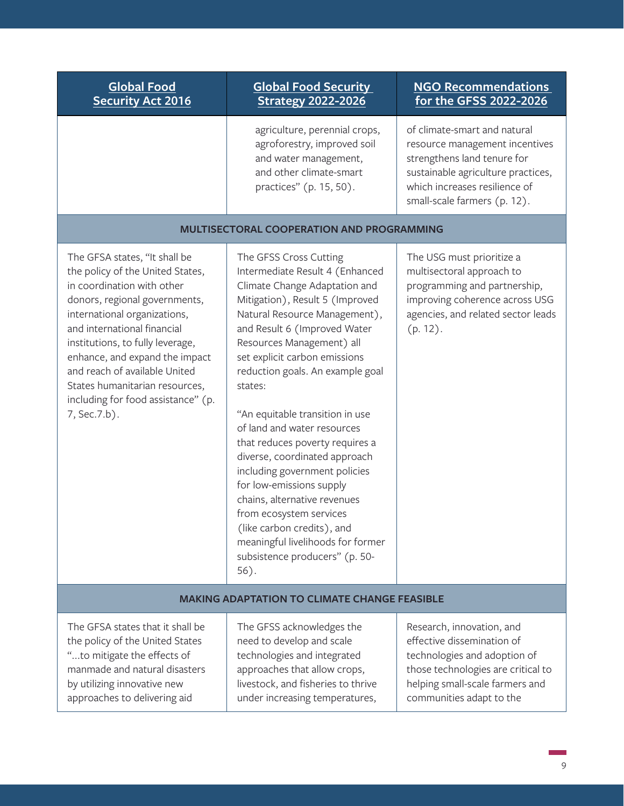| <b>Global Food</b><br><b>Security Act 2016</b>                                                                                                                                                                                                                                                                                                                                                  | <b>Global Food Security</b><br><b>Strategy 2022-2026</b>                                                                                                                                                                                                                                                                                                                                                                                                                                                                                                                                                                                                                               | <b>NGO Recommendations</b><br>for the GFSS 2022-2026                                                                                                                                                 |
|-------------------------------------------------------------------------------------------------------------------------------------------------------------------------------------------------------------------------------------------------------------------------------------------------------------------------------------------------------------------------------------------------|----------------------------------------------------------------------------------------------------------------------------------------------------------------------------------------------------------------------------------------------------------------------------------------------------------------------------------------------------------------------------------------------------------------------------------------------------------------------------------------------------------------------------------------------------------------------------------------------------------------------------------------------------------------------------------------|------------------------------------------------------------------------------------------------------------------------------------------------------------------------------------------------------|
|                                                                                                                                                                                                                                                                                                                                                                                                 | agriculture, perennial crops,<br>agroforestry, improved soil<br>and water management,<br>and other climate-smart<br>practices" (p. 15, 50).                                                                                                                                                                                                                                                                                                                                                                                                                                                                                                                                            | of climate-smart and natural<br>resource management incentives<br>strengthens land tenure for<br>sustainable agriculture practices,<br>which increases resilience of<br>small-scale farmers (p. 12). |
|                                                                                                                                                                                                                                                                                                                                                                                                 | MULTISECTORAL COOPERATION AND PROGRAMMING                                                                                                                                                                                                                                                                                                                                                                                                                                                                                                                                                                                                                                              |                                                                                                                                                                                                      |
| The GFSA states, "It shall be<br>the policy of the United States,<br>in coordination with other<br>donors, regional governments,<br>international organizations,<br>and international financial<br>institutions, to fully leverage,<br>enhance, and expand the impact<br>and reach of available United<br>States humanitarian resources,<br>including for food assistance" (p.<br>7, Sec. 7.b). | The GFSS Cross Cutting<br>Intermediate Result 4 (Enhanced<br>Climate Change Adaptation and<br>Mitigation), Result 5 (Improved<br>Natural Resource Management),<br>and Result 6 (Improved Water<br>Resources Management) all<br>set explicit carbon emissions<br>reduction goals. An example goal<br>states:<br>"An equitable transition in use<br>of land and water resources<br>that reduces poverty requires a<br>diverse, coordinated approach<br>including government policies<br>for low-emissions supply<br>chains, alternative revenues<br>from ecosystem services<br>(like carbon credits), and<br>meaningful livelihoods for former<br>subsistence producers" (p. 50-<br>56). | The USG must prioritize a<br>multisectoral approach to<br>programming and partnership,<br>improving coherence across USG<br>agencies, and related sector leads<br>(p. 12).                           |
| <b>MAKING ADAPTATION TO CLIMATE CHANGE FEASIBLE</b>                                                                                                                                                                                                                                                                                                                                             |                                                                                                                                                                                                                                                                                                                                                                                                                                                                                                                                                                                                                                                                                        |                                                                                                                                                                                                      |
| The GFSA states that it shall be<br>the policy of the United States<br>"to mitigate the effects of<br>manmade and natural disasters<br>by utilizing innovative new<br>approaches to delivering aid                                                                                                                                                                                              | The GFSS acknowledges the<br>need to develop and scale<br>technologies and integrated<br>approaches that allow crops,<br>livestock, and fisheries to thrive<br>under increasing temperatures,                                                                                                                                                                                                                                                                                                                                                                                                                                                                                          | Research, innovation, and<br>effective dissemination of<br>technologies and adoption of<br>those technologies are critical to<br>helping small-scale farmers and<br>communities adapt to the         |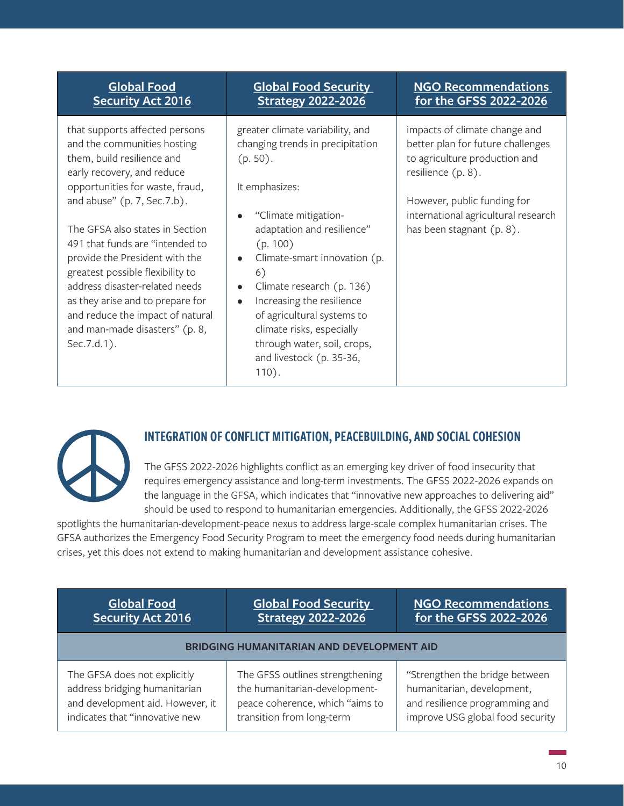that supports affected persons and the communities hosting them, build resilience and early recovery, and reduce opportunities for waste, fraud, and abuse" (p. 7, Sec.7.b).

The GFSA also states in Section 491 that funds are "intended to provide the President with the greatest possible flexibility to address disaster-related needs as they arise and to prepare for and reduce the impact of natural and man-made disasters" (p. 8, Sec.7.d.1).

# **[Global Food Security](https://www.usaid.gov/sites/default/files/documents/Global-Food-Security-Strategy-FY22-26_508C.pdf)  [Strategy 2022-2026](https://www.usaid.gov/sites/default/files/documents/Global-Food-Security-Strategy-FY22-26_508C.pdf)**

greater climate variability, and changing trends in precipitation (p. 50).

It emphasizes:

- "Climate mitigationadaptation and resilience" (p. 100)
- Climate-smart innovation (p. 6)
- Climate research (p. 136)
- Increasing the resilience of agricultural systems to climate risks, especially through water, soil, crops, and livestock (p. 35-36, 110).

## **[NGO Recommendations](https://www.interaction.org/wp-content/uploads/2021/06/InterAction-GFSS-R-Recommendations.pdf)  [for the GFSS 2022-2026](https://www.interaction.org/wp-content/uploads/2021/06/InterAction-GFSS-R-Recommendations.pdf)**

impacts of climate change and better plan for future challenges to agriculture production and resilience (p. 8).

However, public funding for international agricultural research has been stagnant (p. 8).



# INTEGRATION OF CONFLICT MITIGATION, PEACEBUILDING, AND SOCIAL COHESION

The GFSS 2022-2026 highlights conflict as an emerging key driver of food insecurity that requires emergency assistance and long-term investments. The GFSS 2022-2026 expands on the language in the GFSA, which indicates that "innovative new approaches to delivering aid" should be used to respond to humanitarian emergencies. Additionally, the GFSS 2022-2026

spotlights the humanitarian-development-peace nexus to address large-scale complex humanitarian crises. The GFSA authorizes the Emergency Food Security Program to meet the emergency food needs during humanitarian crises, yet this does not extend to making humanitarian and development assistance cohesive.

| <b>Global Food</b>                               | <b>Global Food Security</b>     | <b>NGO Recommendations</b>       |
|--------------------------------------------------|---------------------------------|----------------------------------|
| <b>Security Act 2016</b>                         | <b>Strategy 2022-2026</b>       | for the GFSS 2022-2026           |
| <b>BRIDGING HUMANITARIAN AND DEVELOPMENT AID</b> |                                 |                                  |
| The GFSA does not explicitly                     | The GFSS outlines strengthening | "Strengthen the bridge between   |
| address bridging humanitarian                    | the humanitarian-development-   | humanitarian, development,       |
| and development aid. However, it                 | peace coherence, which "aims to | and resilience programming and   |
| indicates that "innovative new                   | transition from long-term       | improve USG global food security |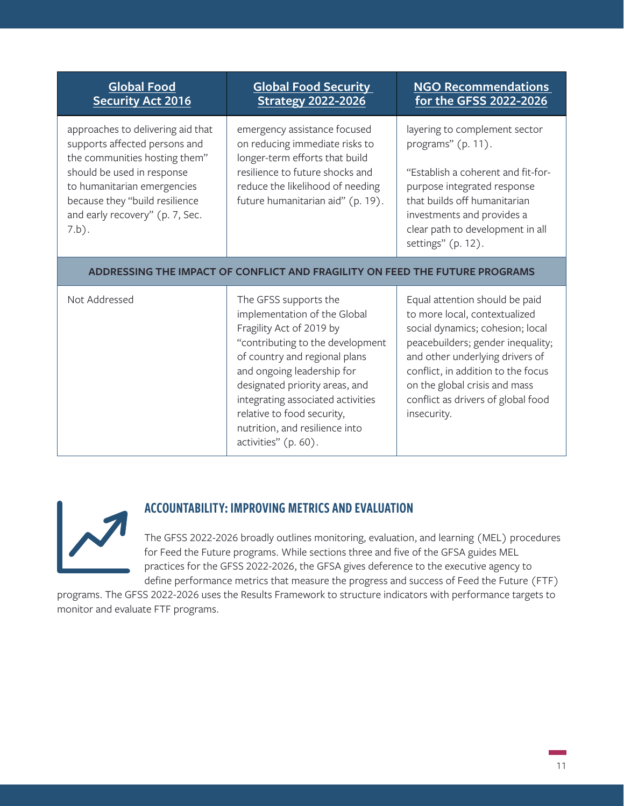| <b>Global Food</b><br><b>Security Act 2016</b>                                                                                                                                                                                                    | <b>Global Food Security</b><br><b>Strategy 2022-2026</b>                                                                                                                                                                                                                                                                                            | <b>NGO Recommendations</b><br>for the GFSS 2022-2026                                                                                                                                                                                                                                                    |
|---------------------------------------------------------------------------------------------------------------------------------------------------------------------------------------------------------------------------------------------------|-----------------------------------------------------------------------------------------------------------------------------------------------------------------------------------------------------------------------------------------------------------------------------------------------------------------------------------------------------|---------------------------------------------------------------------------------------------------------------------------------------------------------------------------------------------------------------------------------------------------------------------------------------------------------|
| approaches to delivering aid that<br>supports affected persons and<br>the communities hosting them"<br>should be used in response<br>to humanitarian emergencies<br>because they "build resilience<br>and early recovery" (p. 7, Sec.<br>$7.b$ ). | emergency assistance focused<br>on reducing immediate risks to<br>longer-term efforts that build<br>resilience to future shocks and<br>reduce the likelihood of needing<br>future humanitarian aid" (p. 19).                                                                                                                                        | layering to complement sector<br>programs" (p. 11).<br>"Establish a coherent and fit-for-<br>purpose integrated response<br>that builds off humanitarian<br>investments and provides a<br>clear path to development in all<br>settings" (p. 12).                                                        |
|                                                                                                                                                                                                                                                   | ADDRESSING THE IMPACT OF CONFLICT AND FRAGILITY ON FEED THE FUTURE PROGRAMS                                                                                                                                                                                                                                                                         |                                                                                                                                                                                                                                                                                                         |
| Not Addressed                                                                                                                                                                                                                                     | The GFSS supports the<br>implementation of the Global<br>Fragility Act of 2019 by<br>"contributing to the development<br>of country and regional plans<br>and ongoing leadership for<br>designated priority areas, and<br>integrating associated activities<br>relative to food security,<br>nutrition, and resilience into<br>activities" (p. 60). | Equal attention should be paid<br>to more local, contextualized<br>social dynamics; cohesion; local<br>peacebuilders; gender inequality;<br>and other underlying drivers of<br>conflict, in addition to the focus<br>on the global crisis and mass<br>conflict as drivers of global food<br>insecurity. |



## ACCOUNTABILITY: IMPROVING METRICS AND EVALUATION

The GFSS 2022-2026 broadly outlines monitoring, evaluation, and learning (MEL) procedures for Feed the Future programs. While sections three and five of the GFSA guides MEL practices for the GFSS 2022-2026, the GFSA gives deference to the executive agency to define performance metrics that measure the progress and success of Feed the Future (FTF)

programs. The GFSS 2022-2026 uses the Results Framework to structure indicators with performance targets to monitor and evaluate FTF programs.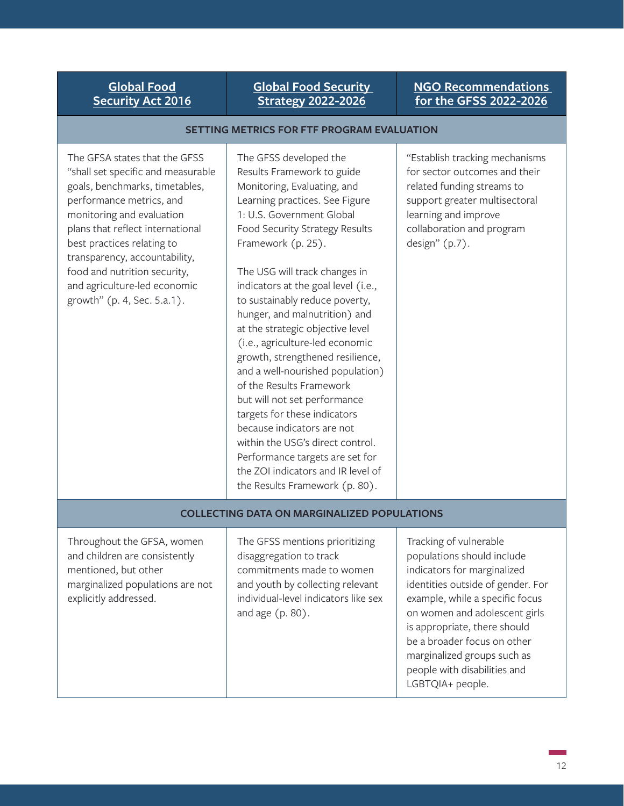#### **[Global Food Security](https://www.usaid.gov/sites/default/files/documents/Global-Food-Security-Strategy-FY22-26_508C.pdf)  [Strategy 2022-2026](https://www.usaid.gov/sites/default/files/documents/Global-Food-Security-Strategy-FY22-26_508C.pdf)**

#### **[NGO Recommendations](https://www.interaction.org/wp-content/uploads/2021/06/InterAction-GFSS-R-Recommendations.pdf)  [for the GFSS 2022-2026](https://www.interaction.org/wp-content/uploads/2021/06/InterAction-GFSS-R-Recommendations.pdf)**

#### **SETTING METRICS FOR FTF PROGRAM EVALUATION**

The GFSA states that the GFSS "shall set specific and measurable goals, benchmarks, timetables, performance metrics, and monitoring and evaluation plans that reflect international best practices relating to transparency, accountability, food and nutrition security, and agriculture-led economic growth" (p. 4, Sec. 5.a.1).

The GFSS developed the Results Framework to guide Monitoring, Evaluating, and Learning practices. See Figure 1: U.S. Government Global Food Security Strategy Results Framework (p. 25).

The USG will track changes in indicators at the goal level (i.e., to sustainably reduce poverty, hunger, and malnutrition) and at the strategic objective level (i.e., agriculture-led economic growth, strengthened resilience, and a well-nourished population) of the Results Framework but will not set performance targets for these indicators because indicators are not within the USG's direct control. Performance targets are set for the ZOI indicators and IR level of the Results Framework (p. 80).

"Establish tracking mechanisms for sector outcomes and their related funding streams to support greater multisectoral learning and improve collaboration and program design" (p.7).

#### **COLLECTING DATA ON MARGINALIZED POPULATIONS**

Throughout the GFSA, women and children are consistently mentioned, but other marginalized populations are not explicitly addressed.

The GFSS mentions prioritizing disaggregation to track commitments made to women and youth by collecting relevant individual-level indicators like sex and age (p. 80).

Tracking of vulnerable populations should include indicators for marginalized identities outside of gender. For example, while a specific focus on women and adolescent girls is appropriate, there should be a broader focus on other marginalized groups such as people with disabilities and LGBTQIA+ people.